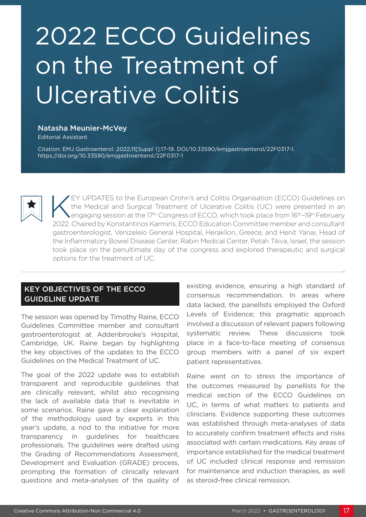# 2022 ECCO Guidelines on the Treatment of Ulcerative Colitis

#### Natasha Meunier-McVey

Editorial Assistant

Citation: EMJ Gastroenterol. 2022;11[Suppl 1]:17-19. DOI/10.33590/emjgastroenterol/22F0317-1. <https://doi.org/10.33590/emjgastroenterol/22F0317-1>



EY UPDATES to the European Crohn's and Colitis Organisation (ECCO) Guidelines on the Medical and Surgical Treatment of Ulcerative Colitis (UC) were presented in an Lengaging session at the 17<sup>th</sup> Congress of ECCO, which took place from 16<sup>th</sup>–19<sup>th</sup> February 2022. Chaired by Konstantinos Karmiris, ECCO Education Committee member and consultant gastroenterologist, Venizeleio General Hospital, Heraklion, Greece, and Henit Yanai, Head of the Inflammatory Bowel Disease Center, Rabin Medical Center, Petah Tikva, Israel, the session took place on the penultimate day of the congress and explored therapeutic and surgical options for the treatment of UC.

# KEY OBJECTIVES OF THE ECCO GUIDELINE UPDATE

The session was opened by Timothy Raine, ECCO Guidelines Committee member and consultant gastroenterologist at Addenbrooke's Hospital, Cambridge, UK. Raine began by highlighting the key objectives of the updates to the ECCO Guidelines on the Medical Treatment of UC.

The goal of the 2022 update was to establish transparent and reproducible guidelines that are clinically relevant, whilst also recognising the lack of available data that is inevitable in some scenarios. Raine gave a clear explanation of the methodology used by experts in this year's update, a nod to the initiative for more transparency in guidelines for healthcare professionals. The guidelines were drafted using the Grading of Recommendations Assessment, Development and Evaluation (GRADE) process, prompting the formation of clinically relevant questions and meta-analyses of the quality of

existing evidence, ensuring a high standard of consensus recommendation. In areas where data lacked, the panellists employed the Oxford Levels of Evidence; this pragmatic approach involved a discussion of relevant papers following systematic review. These discussions took place in a face-to-face meeting of consensus group members with a panel of six expert patient representatives.

Raine went on to stress the importance of the outcomes measured by panellists for the medical section of the ECCO Guidelines on UC, in terms of what matters to patients and clinicians. Evidence supporting these outcomes was established through meta-analyses of data to accurately confirm treatment effects and risks associated with certain medications. Key areas of importance established for the medical treatment of UC included clinical response and remission for maintenance and induction therapies, as well as steroid-free clinical remission.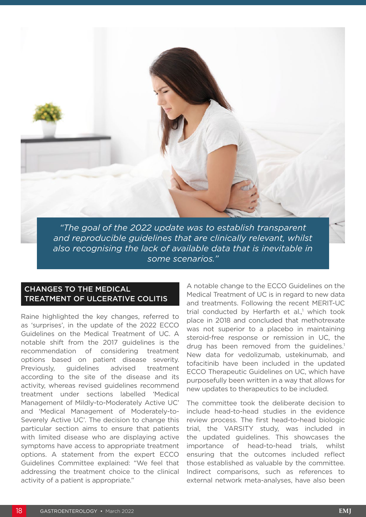

*"The goal of the 2022 update was to establish transparent and reproducible guidelines that are clinically relevant, whilst also recognising the lack of available data that is inevitable in some scenarios."*

## CHANGES TO THE MEDICAL TREATMENT OF ULCERATIVE COLITIS

Raine highlighted the key changes, referred to as 'surprises', in the update of the 2022 ECCO Guidelines on the Medical Treatment of UC. A notable shift from the 2017 guidelines is the recommendation of considering treatment options based on patient disease severity. Previously, guidelines advised treatment according to the site of the disease and its activity, whereas revised guidelines recommend treatment under sections labelled 'Medical Management of Mildly-to-Moderately Active UC' and 'Medical Management of Moderately-to-Severely Active UC'. The decision to change this particular section aims to ensure that patients with limited disease who are displaying active symptoms have access to appropriate treatment options. A statement from the expert ECCO Guidelines Committee explained: "We feel that addressing the treatment choice to the clinical activity of a patient is appropriate."

A notable change to the ECCO Guidelines on the Medical Treatment of UC is in regard to new data and treatments. Following the recent MERIT-UC trial conducted by Herfarth et al.,<sup>1</sup> which took place in 2018 and concluded that methotrexate was not superior to a placebo in maintaining steroid-free response or remission in UC, the drug has been removed from the quidelines.<sup>1</sup> New data for vedolizumab, ustekinumab, and tofacitinib have been included in the updated ECCO Therapeutic Guidelines on UC, which have purposefully been written in a way that allows for new updates to therapeutics to be included.

The committee took the deliberate decision to include head-to-head studies in the evidence review process. The first head-to-head biologic trial, the VARSITY study, was included in the updated guidelines. This showcases the importance of head-to-head trials, whilst ensuring that the outcomes included reflect those established as valuable by the committee. Indirect comparisons, such as references to external network meta-analyses, have also been